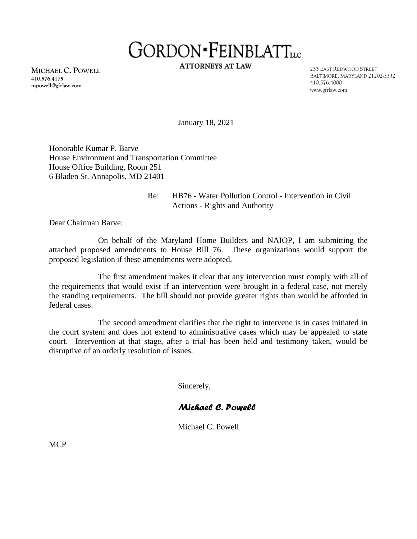# GORDON · FEINBLATTLLC

**ATTORNEYS AT LAW** 

**MICHAEL C. POWELL 410.576.4175 mpowell@gfrlaw.com**

233 EAST REDWOOD STREET BALTIMORE, MARYLAND 21202-3332 410.576.4000 www.gfrlaw.com

January 18, 2021

Honorable Kumar P. Barve House Environment and Transportation Committee House Office Building, Room 251 6 Bladen St. Annapolis, MD 21401

## Re: HB76 - Water Pollution Control - Intervention in Civil Actions - Rights and Authority

Dear Chairman Barve:

On behalf of the Maryland Home Builders and NAIOP, I am submitting the attached proposed amendments to House Bill 76. These organizations would support the proposed legislation if these amendments were adopted.

The first amendment makes it clear that any intervention must comply with all of the requirements that would exist if an intervention were brought in a federal case, not merely the standing requirements. The bill should not provide greater rights than would be afforded in federal cases.

The second amendment clarifies that the right to intervene is in cases initiated in the court system and does not extend to administrative cases which may be appealed to state court. Intervention at that stage, after a trial has been held and testimony taken, would be disruptive of an orderly resolution of issues.

Sincerely,

## *Michael C. Powell*

Michael C. Powell

MCP